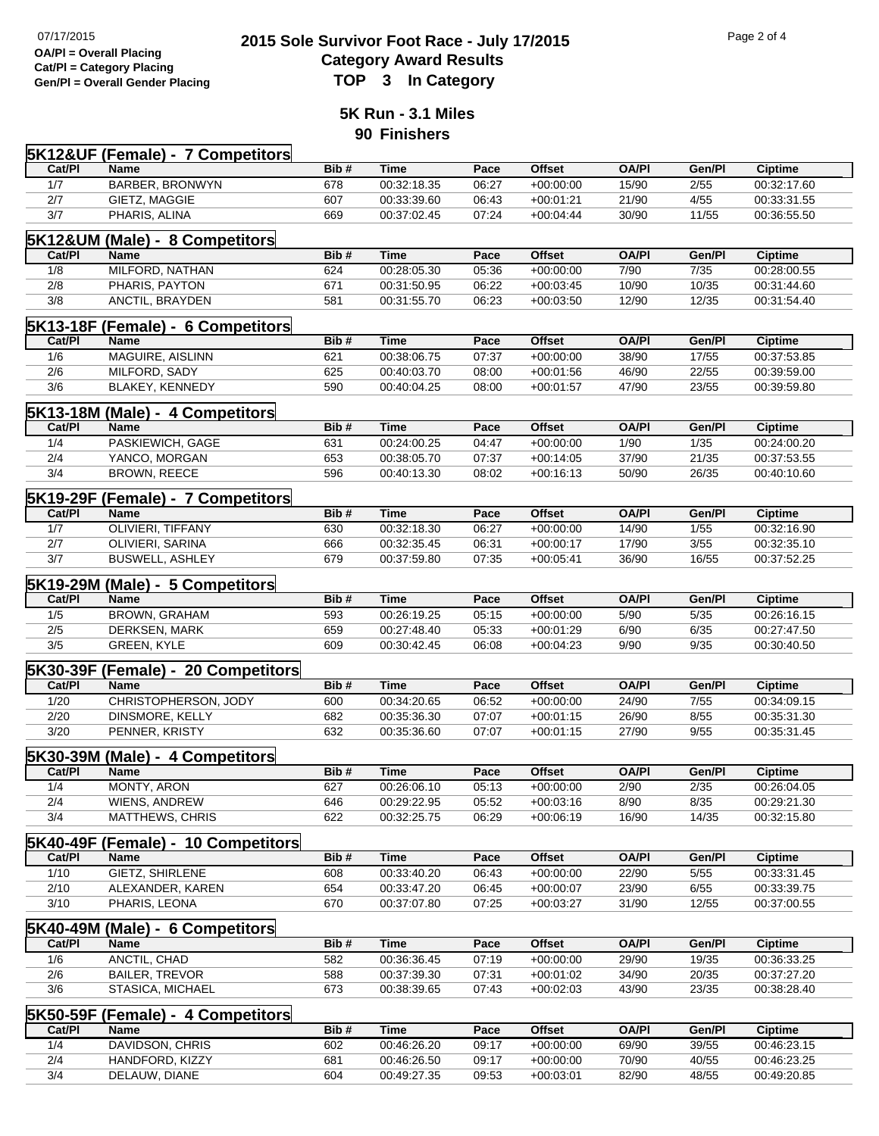## **2015 Sole Survivor Foot Race - July 17/2015** Page 2 of 4<br> **2015 Sole Survivor Foot Race - July 17/2015 Category Award Results<br>TOP 3 In Category**

**5K Run - 3.1 Miles 90 Finishers**

|            | <b>5K12&amp;UF (Female) - 7 Competitors</b>       |            |             |                |               |                |               |                |
|------------|---------------------------------------------------|------------|-------------|----------------|---------------|----------------|---------------|----------------|
| Cat/PI     | <b>Name</b>                                       | Bib#       | <b>Time</b> | Pace           | <b>Offset</b> | <b>OA/PI</b>   | Gen/Pl        | <b>Ciptime</b> |
| 1/7        | BARBER, BRONWYN                                   | 678        | 00:32:18.35 | 06:27          | $+00:00:00$   | 15/90          | 2/55          | 00:32:17.60    |
| 2/7        | GIETZ, MAGGIE                                     | 607        | 00:33:39.60 | 06:43          | $+00:01:21$   | 21/90          | 4/55          | 00:33:31.55    |
| 3/7        | PHARIS, ALINA                                     | 669        | 00:37:02.45 | 07:24          | $+00.04:44$   | 30/90          | 11/55         | 00:36:55.50    |
|            |                                                   |            |             |                |               |                |               |                |
|            | <b>5K12&amp;UM (Male) - 8 Competitors</b>         |            |             |                |               |                |               |                |
| Cat/Pl     | Name                                              | Bib#       | <b>Time</b> | Pace           | <b>Offset</b> | <b>OA/PI</b>   | Gen/Pl        | <b>Ciptime</b> |
| 1/8        | MILFORD, NATHAN                                   | 624        | 00:28:05.30 | 05:36          | $+00:00:00$   | 7/90           | 7/35          | 00:28:00.55    |
| 2/8        | PHARIS, PAYTON                                    | 671        | 00:31:50.95 | 06:22          | $+00:03:45$   | 10/90          | 10/35         | 00:31:44.60    |
| 3/8        | ANCTIL, BRAYDEN                                   | 581        | 00:31:55.70 | 06:23          | $+00:03:50$   | 12/90          | 12/35         | 00:31:54.40    |
|            | <b>5K13-18F (Female) - 6 Competitors</b>          |            |             |                |               |                |               |                |
| Cat/PI     | Name                                              | Bib#       | <b>Time</b> | Pace           | <b>Offset</b> | <b>OA/PI</b>   | Gen/Pl        | <b>Ciptime</b> |
| 1/6        | MAGUIRE, AISLINN                                  | 621        | 00:38:06.75 | 07:37          | $+00:00:00$   | 38/90          | 17/55         | 00:37:53.85    |
| 2/6        | MILFORD, SADY                                     | 625        | 00:40:03.70 | 08:00          | $+00:01:56$   | 46/90          | 22/55         | 00:39:59.00    |
| 3/6        | <b>BLAKEY, KENNEDY</b>                            | 590        | 00:40:04.25 | 08:00          | $+00:01:57$   | 47/90          | 23/55         | 00:39:59.80    |
|            | 5K13-18M (Male) - 4 Competitors                   |            |             |                |               |                |               |                |
| Cat/PI     | Name                                              | Bib#       | <b>Time</b> | Pace           | <b>Offset</b> | <b>OA/PI</b>   | Gen/Pl        | <b>Ciptime</b> |
| 1/4        | PASKIEWICH, GAGE                                  | 631        | 00:24:00.25 | 04:47          | $+00:00:00$   | 1/90           | 1/35          | 00:24:00.20    |
| 2/4        | YANCO, MORGAN                                     | 653        | 00:38:05.70 | 07:37          | $+00:14:05$   | 37/90          | 21/35         | 00:37:53.55    |
| 3/4        | BROWN, REECE                                      | 596        | 00:40:13.30 | 08:02          | $+00:16:13$   | 50/90          | 26/35         | 00:40:10.60    |
|            |                                                   |            |             |                |               |                |               |                |
| Cat/PI     | <b>5K19-29F (Female) - 7 Competitors</b><br>Name  | Bib#       | <b>Time</b> | Pace           | <b>Offset</b> | <b>OA/PI</b>   | Gen/Pl        | <b>Ciptime</b> |
| 1/7        |                                                   | 630        |             | 06:27          | $+00:00:00$   |                |               |                |
|            | OLIVIERI, TIFFANY                                 |            | 00:32:18.30 |                | $+00:00:17$   | 14/90          | 1/55          | 00:32:16.90    |
| 2/7<br>3/7 | OLIVIERI, SARINA                                  | 666<br>679 | 00:32:35.45 | 06:31<br>07:35 |               | 17/90<br>36/90 | 3/55<br>16/55 | 00:32:35.10    |
|            | <b>BUSWELL, ASHLEY</b>                            |            | 00:37:59.80 |                | $+00:05:41$   |                |               | 00:37:52.25    |
|            | 5K19-29M (Male) - 5 Competitors                   |            |             |                |               |                |               |                |
| Cat/PI     | Name                                              | Bib#       | <b>Time</b> | Pace           | <b>Offset</b> | <b>OA/PI</b>   | Gen/Pl        | <b>Ciptime</b> |
| 1/5        | <b>BROWN, GRAHAM</b>                              | 593        | 00:26:19.25 | 05:15          | $+00:00:00$   | 5/90           | 5/35          | 00:26:16.15    |
| 2/5        | DERKSEN, MARK                                     | 659        | 00:27:48.40 | 05:33          | $+00:01:29$   | 6/90           | 6/35          | 00:27:47.50    |
| 3/5        | GREEN, KYLE                                       | 609        | 00:30:42.45 | 06:08          | $+00:04:23$   | 9/90           | 9/35          | 00:30:40.50    |
|            | 5K30-39F (Female) - 20 Competitors                |            |             |                |               |                |               |                |
| Cat/PI     | Name                                              | Bib#       | Time        | Pace           | <b>Offset</b> | <b>OA/PI</b>   | Gen/Pl        | <b>Ciptime</b> |
| 1/20       | CHRISTOPHERSON, JODY                              | 600        | 00:34:20.65 | 06:52          | $+00:00:00$   | 24/90          | 7/55          | 00:34:09.15    |
| 2/20       | DINSMORE, KELLY                                   | 682        | 00:35:36.30 | 07:07          | $+00:01:15$   | 26/90          | 8/55          | 00:35:31.30    |
| 3/20       | PENNER, KRISTY                                    | 632        | 00:35:36.60 | 07:07          | $+00:01:15$   | 27/90          | 9/55          | 00:35:31.45    |
| 5K30-39M   | (Male) - 4 Competitors                            |            |             |                |               |                |               |                |
| Cat/PI     | Name                                              | Bib#       | <b>Time</b> | Pace           | <b>Offset</b> | <b>OA/PI</b>   | Gen/Pl        | <b>Ciptime</b> |
| 1/4        | MONTY, ARON                                       | 627        | 00:26:06.10 | 05:13          | $+00:00:00$   | 2/90           | 2/35          | 00:26:04.05    |
| 2/4        | WIENS, ANDREW                                     | 646        | 00:29:22.95 | 05:52          | $+00:03:16$   | 8/90           | 8/35          | 00:29:21.30    |
| 3/4        | MATTHEWS, CHRIS                                   | 622        | 00:32:25.75 | 06:29          | $+00:06:19$   | 16/90          | 14/35         | 00:32:15.80    |
|            |                                                   |            |             |                |               |                |               |                |
| Cat/PI     | <b>5K40-49F (Female) - 10 Competitors</b><br>Name | Bib#       | <b>Time</b> | Pace           | <b>Offset</b> | <b>OA/PI</b>   | Gen/Pl        | <b>Ciptime</b> |
| 1/10       | GIETZ, SHIRLENE                                   | 608        | 00:33:40.20 | 06:43          | $+00:00:00$   | 22/90          | $5/55$        | 00:33:31.45    |
| 2/10       | ALEXANDER, KAREN                                  | 654        | 00:33:47.20 | 06:45          | $+00:00:07$   | 23/90          | 6/55          | 00:33:39.75    |
| 3/10       | PHARIS, LEONA                                     | 670        | 00:37:07.80 | 07:25          | $+00:03:27$   | 31/90          | 12/55         | 00:37:00.55    |
|            |                                                   |            |             |                |               |                |               |                |
| 5K40-49M   | (Male) - 6 Competitors                            |            |             |                |               |                |               |                |
| Cat/PI     | Name                                              | Bib#       | <b>Time</b> | Pace           | <b>Offset</b> | <b>OA/PI</b>   | Gen/Pl        | <b>Ciptime</b> |
| 1/6        | ANCTIL, CHAD                                      | 582        | 00:36:36.45 | 07:19          | $+00:00:00$   | 29/90          | 19/35         | 00:36:33.25    |
| 2/6        | <b>BAILER, TREVOR</b>                             | 588        | 00:37:39.30 | 07:31          | $+00:01:02$   | 34/90          | 20/35         | 00:37:27.20    |
| 3/6        | STASICA, MICHAEL                                  | 673        | 00:38:39.65 | 07:43          | $+00:02:03$   | 43/90          | 23/35         | 00:38:28.40    |
|            | <b>5K50-59F (Female) - 4 Competitors</b>          |            |             |                |               |                |               |                |
| Cat/PI     | Name                                              | Bib#       | <b>Time</b> | Pace           | <b>Offset</b> | <b>OA/PI</b>   | Gen/Pl        | Ciptime        |
| 1/4        | DAVIDSON, CHRIS                                   | 602        | 00:46:26.20 | 09:17          | $+00:00:00$   | 69/90          | 39/55         | 00:46:23.15    |
| 2/4        | HANDFORD, KIZZY                                   | 681        | 00:46:26.50 | 09:17          | $+00:00:00$   | 70/90          | 40/55         | 00:46:23.25    |

3/4 DELAUW, DIANE 604 00:49:27.35 09:53 +00:03:01 82/90 48/55 00:49:20.85